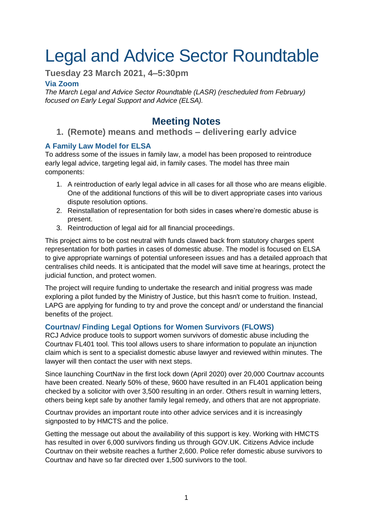# Legal and Advice Sector Roundtable

**Tuesday 23 March 2021, 4–5:30pm**

#### **Via Zoom**

*The March Legal and Advice Sector Roundtable (LASR) (rescheduled from February) focused on Early Legal Support and Advice (ELSA).*

# **Meeting Notes**

## **1. (Remote) means and methods – delivering early advice**

#### **A Family Law Model for ELSA**

To address some of the issues in family law, a model has been proposed to reintroduce early legal advice, targeting legal aid, in family cases. The model has three main components:

- 1. A reintroduction of early legal advice in all cases for all those who are means eligible. One of the additional functions of this will be to divert appropriate cases into various dispute resolution options.
- 2. Reinstallation of representation for both sides in cases where're domestic abuse is present.
- 3. Reintroduction of legal aid for all financial proceedings.

This project aims to be cost neutral with funds clawed back from statutory charges spent representation for both parties in cases of domestic abuse. The model is focused on ELSA to give appropriate warnings of potential unforeseen issues and has a detailed approach that centralises child needs. It is anticipated that the model will save time at hearings, protect the judicial function, and protect women.

The project will require funding to undertake the research and initial progress was made exploring a pilot funded by the Ministry of Justice, but this hasn't come to fruition. Instead, LAPG are applying for funding to try and prove the concept and/ or understand the financial benefits of the project.

#### **Courtnav/ Finding Legal Options for Women Survivors (FLOWS)**

RCJ Advice produce tools to support women survivors of domestic abuse including the Courtnav FL401 tool. This tool allows users to share information to populate an injunction claim which is sent to a specialist domestic abuse lawyer and reviewed within minutes. The lawyer will then contact the user with next steps.

Since launching CourtNav in the first lock down (April 2020) over 20,000 Courtnav accounts have been created. Nearly 50% of these, 9600 have resulted in an FL401 application being checked by a solicitor with over 3,500 resulting in an order. Others result in warning letters, others being kept safe by another family legal remedy, and others that are not appropriate.

Courtnav provides an important route into other advice services and it is increasingly signposted to by HMCTS and the police.

Getting the message out about the availability of this support is key. Working with HMCTS has resulted in over 6,000 survivors finding us through GOV.UK. Citizens Advice include Courtnav on their website reaches a further 2,600. Police refer domestic abuse survivors to Courtnav and have so far directed over 1,500 survivors to the tool.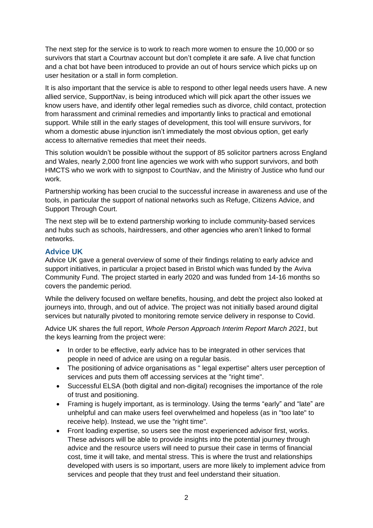The next step for the service is to work to reach more women to ensure the 10,000 or so survivors that start a Courtnav account but don't complete it are safe. A live chat function and a chat bot have been introduced to provide an out of hours service which picks up on user hesitation or a stall in form completion.

It is also important that the service is able to respond to other legal needs users have. A new allied service, SupportNav, is being introduced which will pick apart the other issues we know users have, and identify other legal remedies such as divorce, child contact, protection from harassment and criminal remedies and importantly links to practical and emotional support. While still in the early stages of development, this tool will ensure survivors, for whom a domestic abuse injunction isn't immediately the most obvious option, get early access to alternative remedies that meet their needs.

This solution wouldn't be possible without the support of 85 solicitor partners across England and Wales, nearly 2,000 front line agencies we work with who support survivors, and both HMCTS who we work with to signpost to CourtNav, and the Ministry of Justice who fund our work.

Partnership working has been crucial to the successful increase in awareness and use of the tools, in particular the support of national networks such as Refuge, Citizens Advice, and Support Through Court.

The next step will be to extend partnership working to include community-based services and hubs such as schools, hairdressers, and other agencies who aren't linked to formal networks.

#### **Advice UK**

Advice UK gave a general overview of some of their findings relating to early advice and support initiatives, in particular a project based in Bristol which was funded by the Aviva Community Fund. The project started in early 2020 and was funded from 14-16 months so covers the pandemic period.

While the delivery focused on welfare benefits, housing, and debt the project also looked at journeys into, through, and out of advice. The project was not initially based around digital services but naturally pivoted to monitoring remote service delivery in response to Covid.

Advice UK shares the full report, *Whole Person Approach Interim Report March 2021*, but the keys learning from the project were:

- In order to be effective, early advice has to be integrated in other services that people in need of advice are using on a regular basis.
- The positioning of advice organisations as " legal expertise" alters user perception of services and puts them off accessing services at the "right time".
- Successful ELSA (both digital and non-digital) recognises the importance of the role of trust and positioning.
- Framing is hugely important, as is terminology. Using the terms "early" and "late" are unhelpful and can make users feel overwhelmed and hopeless (as in "too late" to receive help). Instead, we use the "right time".
- Front loading expertise, so users see the most experienced advisor first, works. These advisors will be able to provide insights into the potential journey through advice and the resource users will need to pursue their case in terms of financial cost, time it will take, and mental stress. This is where the trust and relationships developed with users is so important, users are more likely to implement advice from services and people that they trust and feel understand their situation.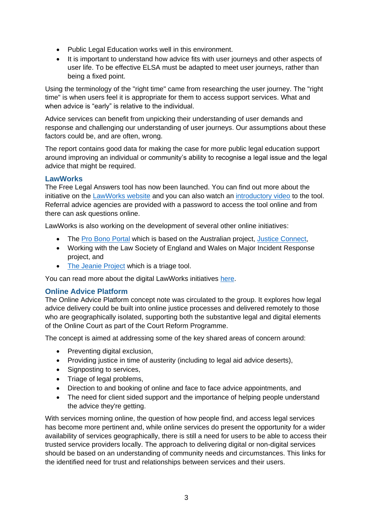- Public Legal Education works well in this environment.
- It is important to understand how advice fits with user journeys and other aspects of user life. To be effective ELSA must be adapted to meet user journeys, rather than being a fixed point.

Using the terminology of the "right time" came from researching the user journey. The "right time" is when users feel it is appropriate for them to access support services. What and when advice is "early" is relative to the individual.

Advice services can benefit from unpicking their understanding of user demands and response and challenging our understanding of user journeys. Our assumptions about these factors could be, and are often, wrong.

The report contains good data for making the case for more public legal education support around improving an individual or community's ability to recognise a legal issue and the legal advice that might be required.

#### **LawWorks**

The Free Legal Answers tool has now been launched. You can find out more about the initiative on the [LawWorks website](https://www.lawworks.org.uk/solicitors-and-volunteers/get-involved/free-legal-answers) and you can also watch an [introductory video](https://www.youtube.com/watch?v=6W-bXM_cWs8) to the tool. Referral advice agencies are provided with a password to access the tool online and from there can ask questions online.

LawWorks is also working on the development of several other online initiatives:

- The [Pro Bono Portal](https://nfj.org.uk/news/connecting-advice-organisations-to-pro-bono-through-an-online-platform-pro-bono-portal-uk-lawworks) which is based on the Australian project, [Justice Connect,](https://justiceconnect.org.au/)
- Working with the Law Society of England and Wales on Major Incident Response project, and
- [The Jeanie Project](https://thejeanieproject.org.uk/) which is a triage tool.

You can read more about the digital LawWorks initiatives [here.](https://www.lawworks.org.uk/about-us/news/year-digital-development)

#### **Online Advice Platform**

The Online Advice Platform concept note was circulated to the group. It explores how legal advice delivery could be built into online justice processes and delivered remotely to those who are geographically isolated, supporting both the substantive legal and digital elements of the Online Court as part of the Court Reform Programme.

The concept is aimed at addressing some of the key shared areas of concern around:

- Preventing digital exclusion,
- Providing justice in time of austerity (including to legal aid advice deserts),
- Signposting to services,
- Triage of legal problems,
- Direction to and booking of online and face to face advice appointments, and
- The need for client sided support and the importance of helping people understand the advice they're getting.

With services morning online, the question of how people find, and access legal services has become more pertinent and, while online services do present the opportunity for a wider availability of services geographically, there is still a need for users to be able to access their trusted service providers locally. The approach to delivering digital or non-digital services should be based on an understanding of community needs and circumstances. This links for the identified need for trust and relationships between services and their users.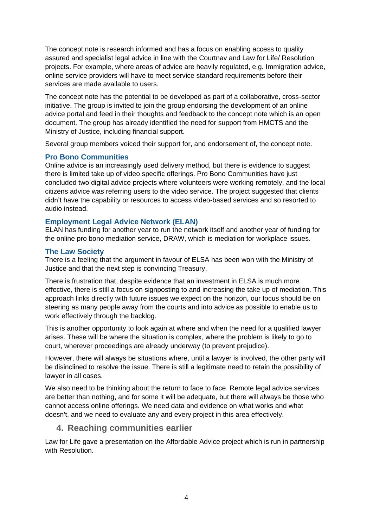The concept note is research informed and has a focus on enabling access to quality assured and specialist legal advice in line with the Courtnav and Law for Life/ Resolution projects. For example, where areas of advice are heavily regulated, e.g. Immigration advice, online service providers will have to meet service standard requirements before their services are made available to users.

The concept note has the potential to be developed as part of a collaborative, cross-sector initiative. The group is invited to join the group endorsing the development of an online advice portal and feed in their thoughts and feedback to the concept note which is an open document. The group has already identified the need for support from HMCTS and the Ministry of Justice, including financial support.

Several group members voiced their support for, and endorsement of, the concept note.

#### **Pro Bono Communities**

Online advice is an increasingly used delivery method, but there is evidence to suggest there is limited take up of video specific offerings. Pro Bono Communities have just concluded two digital advice projects where volunteers were working remotely, and the local citizens advice was referring users to the video service. The project suggested that clients didn't have the capability or resources to access video-based services and so resorted to audio instead.

#### **Employment Legal Advice Network (ELAN)**

ELAN has funding for another year to run the network itself and another year of funding for the online pro bono mediation service, DRAW, which is mediation for workplace issues.

#### **The Law Society**

There is a feeling that the argument in favour of ELSA has been won with the Ministry of Justice and that the next step is convincing Treasury.

There is frustration that, despite evidence that an investment in ELSA is much more effective, there is still a focus on signposting to and increasing the take up of mediation. This approach links directly with future issues we expect on the horizon, our focus should be on steering as many people away from the courts and into advice as possible to enable us to work effectively through the backlog.

This is another opportunity to look again at where and when the need for a qualified lawyer arises. These will be where the situation is complex, where the problem is likely to go to court, wherever proceedings are already underway (to prevent prejudice).

However, there will always be situations where, until a lawyer is involved, the other party will be disinclined to resolve the issue. There is still a legitimate need to retain the possibility of lawyer in all cases.

We also need to be thinking about the return to face to face. Remote legal advice services are better than nothing, and for some it will be adequate, but there will always be those who cannot access online offerings. We need data and evidence on what works and what doesn't, and we need to evaluate any and every project in this area effectively.

#### **4. Reaching communities earlier**

Law for Life gave a presentation on the Affordable Advice project which is run in partnership with Resolution.